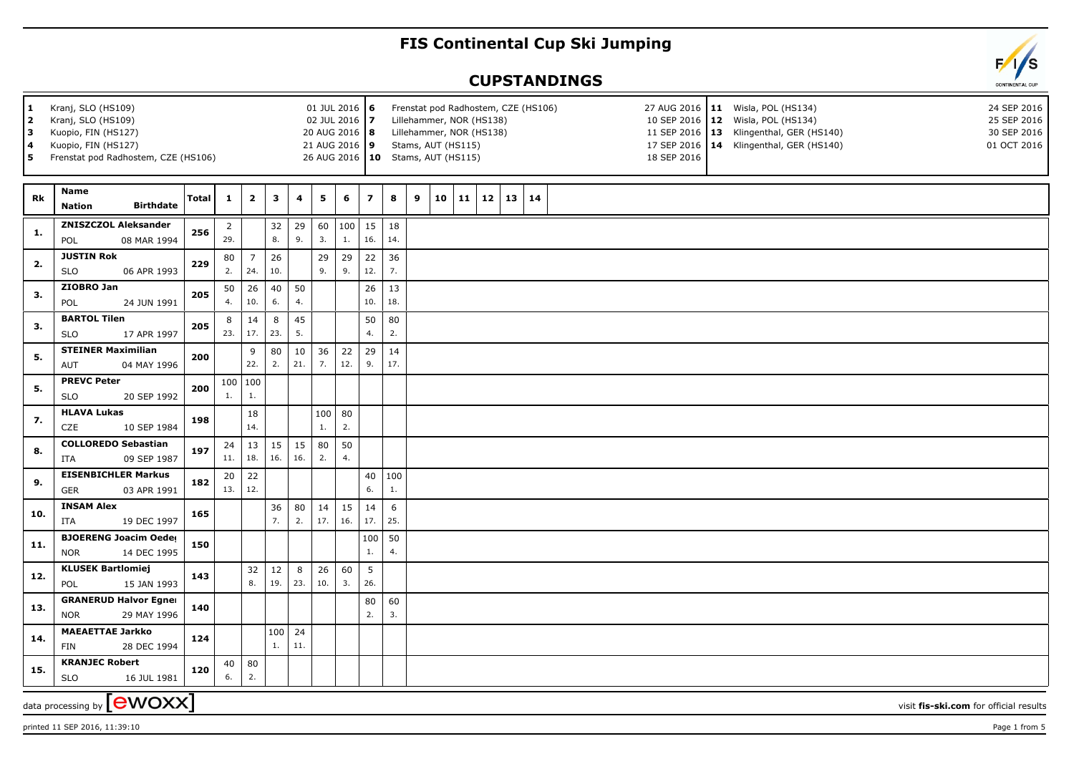## **FIS Continental Cup Ski Jumping**

## **CUPSTANDINGS**

| 1<br>$\overline{\mathbf{2}}$<br>3<br>4<br>5 | Kranj, SLO (HS109)<br>Kranj, SLO (HS109)<br>Kuopio, FIN (HS127)<br>Kuopio, FIN (HS127)<br>Frenstat pod Radhostem, CZE (HS106) | 01 JUL 2016 6<br>02 JUL 2016 7<br>20 AUG 2016   8<br>21 AUG 2016 9 |                       |                       | Frenstat pod Radhostem, CZE (HS106)<br>Lillehammer, NOR (HS138)<br>Lillehammer, NOR (HS138)<br>Stams, AUT (HS115)<br>26 AUG 2016   10 Stams, AUT (HS115) |           |                       |           |                        |           |   | 18 SEP 2016 | 27 AUG 2016   11 Wisla, POL (HS134)<br>10 SEP 2016   12 Wisla, POL (HS134)<br>11 SEP 2016   13 Klingenthal, GER (HS140)<br>17 SEP 2016   14 Klingenthal, GER (HS140) |    | 24 SEP 2016<br>25 SEP 2016<br>30 SEP 2016<br>01 OCT 2016 |    |  |  |  |                                        |  |
|---------------------------------------------|-------------------------------------------------------------------------------------------------------------------------------|--------------------------------------------------------------------|-----------------------|-----------------------|----------------------------------------------------------------------------------------------------------------------------------------------------------|-----------|-----------------------|-----------|------------------------|-----------|---|-------------|----------------------------------------------------------------------------------------------------------------------------------------------------------------------|----|----------------------------------------------------------|----|--|--|--|----------------------------------------|--|
| Rk                                          | Name<br><b>Birthdate</b><br><b>Nation</b>                                                                                     | Total                                                              | 1                     | $\overline{2}$        | 3                                                                                                                                                        | 4         | 5                     | 6         | $\overline{z}$         | 8         | 9 | 10          | 11                                                                                                                                                                   | 12 | 13                                                       | 14 |  |  |  |                                        |  |
| 1.                                          | <b>ZNISZCZOL Aleksander</b><br>08 MAR 1994<br>POL                                                                             | 256                                                                | $\overline{2}$<br>29. |                       | 32<br>8.                                                                                                                                                 | 29<br>9.  | 60<br>3.              | 100<br>1. | 15<br>16.              | 18<br>14. |   |             |                                                                                                                                                                      |    |                                                          |    |  |  |  |                                        |  |
| 2.                                          | <b>JUSTIN Rok</b><br><b>SLO</b><br>06 APR 1993                                                                                | 229                                                                | 80<br>2.              | $\overline{7}$<br>24. | 26<br>10.                                                                                                                                                |           | 29<br>9.              | 29<br>9.  | 22<br>12.              | 36<br>7.  |   |             |                                                                                                                                                                      |    |                                                          |    |  |  |  |                                        |  |
| 3.                                          | ZIOBRO Jan<br>24 JUN 1991<br>POL                                                                                              | 205                                                                | 50<br>4.              | 26<br>10.             | 40<br>6.                                                                                                                                                 | 50<br>4.  |                       |           | 26<br>10.              | 13<br>18. |   |             |                                                                                                                                                                      |    |                                                          |    |  |  |  |                                        |  |
| 3.                                          | <b>BARTOL Tilen</b><br><b>SLO</b><br>17 APR 1997                                                                              | 205                                                                | 8<br>23.              | 14<br>17.             | 8<br>23.                                                                                                                                                 | 45<br>5.  |                       |           | 50<br>4.               | 80<br>2.  |   |             |                                                                                                                                                                      |    |                                                          |    |  |  |  |                                        |  |
| 5.                                          | <b>STEINER Maximilian</b><br><b>AUT</b><br>04 MAY 1996                                                                        | 200                                                                |                       | 9<br>22.              | 80<br>2.                                                                                                                                                 | 10<br>21. | 36<br>7.              | 22<br>12. | 29<br>9.               | 14<br>17. |   |             |                                                                                                                                                                      |    |                                                          |    |  |  |  |                                        |  |
| 5.                                          | <b>PREVC Peter</b><br><b>SLO</b><br>20 SEP 1992                                                                               | 200                                                                | 1.                    | 100   100<br>1.       |                                                                                                                                                          |           |                       |           |                        |           |   |             |                                                                                                                                                                      |    |                                                          |    |  |  |  |                                        |  |
| 7.                                          | <b>HLAVA Lukas</b><br>CZE<br>10 SEP 1984                                                                                      | 198                                                                |                       | 18<br>14.             |                                                                                                                                                          |           | 100<br>$\mathbf{1}$ . | 80<br>2.  |                        |           |   |             |                                                                                                                                                                      |    |                                                          |    |  |  |  |                                        |  |
| 8.                                          | <b>COLLOREDO Sebastian</b><br><b>ITA</b><br>09 SEP 1987                                                                       | 197                                                                | 24<br>11.             | 13<br>18.             | 15<br>16.                                                                                                                                                | 15<br>16. | 80<br>2.              | 50<br>4.  |                        |           |   |             |                                                                                                                                                                      |    |                                                          |    |  |  |  |                                        |  |
| 9.                                          | <b>EISENBICHLER Markus</b><br><b>GER</b><br>03 APR 1991                                                                       | 182                                                                | 20<br>13.             | 22<br>12.             |                                                                                                                                                          |           |                       |           | $40\,$<br>6.           | 100<br>1. |   |             |                                                                                                                                                                      |    |                                                          |    |  |  |  |                                        |  |
| 10.                                         | <b>INSAM Alex</b><br><b>ITA</b><br>19 DEC 1997                                                                                | 165                                                                |                       |                       | 36<br>7.                                                                                                                                                 | 80<br>2.  | 14<br>17.             | 15<br>16. | 14<br>17.              | 6<br>25.  |   |             |                                                                                                                                                                      |    |                                                          |    |  |  |  |                                        |  |
| 11.                                         | <b>BJOERENG Joacim Oeder</b><br><b>NOR</b><br>14 DEC 1995                                                                     | 150                                                                |                       |                       |                                                                                                                                                          |           |                       |           | 100<br>1.              | 50<br>4.  |   |             |                                                                                                                                                                      |    |                                                          |    |  |  |  |                                        |  |
| 12.                                         | <b>KLUSEK Bartlomiej</b><br>POL<br>15 JAN 1993                                                                                | 143                                                                |                       | 32<br>8.              | 12<br>19.                                                                                                                                                | 8<br>23.  | 26<br>10.             | 60<br>3.  | $5\overline{5}$<br>26. |           |   |             |                                                                                                                                                                      |    |                                                          |    |  |  |  |                                        |  |
| 13.                                         | <b>GRANERUD Halvor Egner</b><br>29 MAY 1996<br><b>NOR</b>                                                                     | 140                                                                |                       |                       |                                                                                                                                                          |           |                       |           | 80<br>2.               | 60<br>3.  |   |             |                                                                                                                                                                      |    |                                                          |    |  |  |  |                                        |  |
| 14.                                         | <b>MAEAETTAE Jarkko</b><br>28 DEC 1994<br>FIN                                                                                 | 124                                                                |                       |                       | 100<br>1.                                                                                                                                                | 24<br>11. |                       |           |                        |           |   |             |                                                                                                                                                                      |    |                                                          |    |  |  |  |                                        |  |
| 15.                                         | <b>KRANJEC Robert</b><br><b>SLO</b><br>16 JUL 1981                                                                            | 120                                                                | 40<br>6.              | 80<br>2.              |                                                                                                                                                          |           |                       |           |                        |           |   |             |                                                                                                                                                                      |    |                                                          |    |  |  |  |                                        |  |
|                                             | data processing by $\left[\begin{array}{l}\text{ewoxx}\end{array}\right]$                                                     |                                                                    |                       |                       |                                                                                                                                                          |           |                       |           |                        |           |   |             |                                                                                                                                                                      |    |                                                          |    |  |  |  | visit fis-ski.com for official results |  |

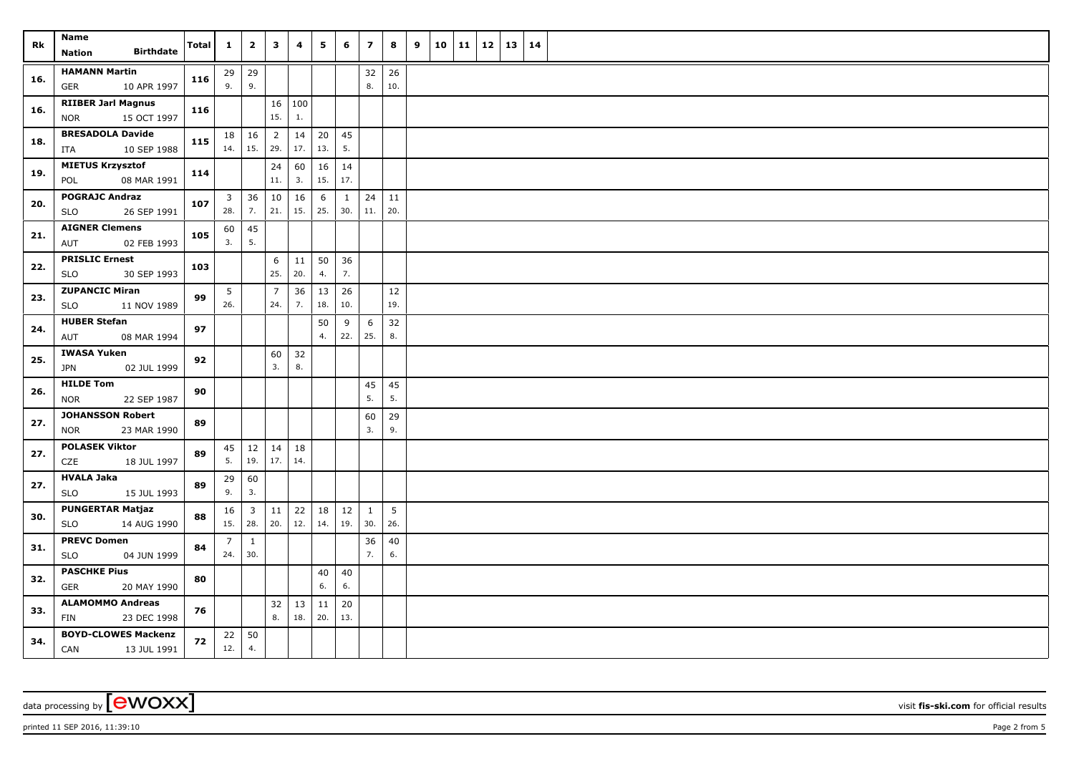| Rk  | Name<br><b>Birthdate</b><br><b>Nation</b>         | <b>Total</b> | $\mathbf{1}$   | $\overline{\mathbf{2}}$ | 3              | 4             | 5             | 6         | $\overline{z}$ | 8               | 9 | 10 | 11 | 12 | 13 | 14 |  |
|-----|---------------------------------------------------|--------------|----------------|-------------------------|----------------|---------------|---------------|-----------|----------------|-----------------|---|----|----|----|----|----|--|
|     | <b>HAMANN Martin</b>                              |              |                |                         |                |               |               |           |                |                 |   |    |    |    |    |    |  |
| 16. | 10 APR 1997<br><b>GER</b>                         | 116          | 9.             | $29 \mid 29$<br>9.      |                |               |               |           | 32<br>8.       | 26<br>10.       |   |    |    |    |    |    |  |
|     | <b>RIIBER Jarl Magnus</b>                         |              |                |                         | 16             | $ 100\rangle$ |               |           |                |                 |   |    |    |    |    |    |  |
| 16. | 15 OCT 1997<br><b>NOR</b>                         | 116          |                |                         | 15.            | 1.            |               |           |                |                 |   |    |    |    |    |    |  |
|     | <b>BRESADOLA Davide</b>                           |              | 18             | 16                      | $\overline{2}$ | 14            | 20            | 45        |                |                 |   |    |    |    |    |    |  |
| 18. | 10 SEP 1988<br>ITA                                | 115          | 14.            | 15.                     | 29.            | 17.           | 13.           | 5.        |                |                 |   |    |    |    |    |    |  |
|     | <b>MIETUS Krzysztof</b>                           |              |                |                         | 24             | 60            | 16            | 14        |                |                 |   |    |    |    |    |    |  |
| 19. | 08 MAR 1991<br>POL                                | 114          |                |                         | $11.$          | 3.            | 15.           | 17.       |                |                 |   |    |    |    |    |    |  |
| 20. | <b>POGRAJC Andraz</b>                             | 107          | $\overline{3}$ | 36                      | 10             | 16            | 6             | 1         | 24             | 11              |   |    |    |    |    |    |  |
|     | 26 SEP 1991<br><b>SLO</b>                         |              | 28.            | 7.                      | 21.            | 15.           | 25.           | 30.       | $11.$          | 20.             |   |    |    |    |    |    |  |
| 21. | <b>AIGNER Clemens</b>                             | 105          | 60             | 45                      |                |               |               |           |                |                 |   |    |    |    |    |    |  |
|     | 02 FEB 1993<br>AUT                                |              | 3.             | 5.                      |                |               |               |           |                |                 |   |    |    |    |    |    |  |
| 22. | <b>PRISLIC Ernest</b>                             | 103          |                |                         | 6              | 11            | 50            | 36        |                |                 |   |    |    |    |    |    |  |
|     | <b>SLO</b><br>30 SEP 1993                         |              |                |                         | 25.            | 20.           | 4.            | 7.        |                |                 |   |    |    |    |    |    |  |
| 23. | <b>ZUPANCIC Miran</b>                             | 99           | 5              |                         | $\overline{7}$ | 36            | 13            | 26        |                | $12\,$          |   |    |    |    |    |    |  |
|     | <b>SLO</b><br>11 NOV 1989                         |              | 26.            |                         | 24.            | 7.            | 18.           | 10.       |                | 19.             |   |    |    |    |    |    |  |
| 24. | <b>HUBER Stefan</b>                               | 97           |                |                         |                |               | 50            | 9         | 6              | 32              |   |    |    |    |    |    |  |
|     | AUT<br>08 MAR 1994                                |              |                |                         |                |               | 4.            | 22.       | 25.            | 8.              |   |    |    |    |    |    |  |
| 25. | <b>IWASA Yuken</b><br>JPN<br>02 JUL 1999          | 92           |                |                         | 60<br>3.       | 32<br>8.      |               |           |                |                 |   |    |    |    |    |    |  |
|     | <b>HILDE Tom</b>                                  |              |                |                         |                |               |               |           | 45             | 45              |   |    |    |    |    |    |  |
| 26. | <b>NOR</b><br>22 SEP 1987                         | 90           |                |                         |                |               |               |           | 5.             | 5.              |   |    |    |    |    |    |  |
|     | <b>JOHANSSON Robert</b>                           |              |                |                         |                |               |               |           | 60             | 29              |   |    |    |    |    |    |  |
| 27. | 23 MAR 1990<br>NOR                                | 89           |                |                         |                |               |               |           | 3.             | 9.              |   |    |    |    |    |    |  |
|     | <b>POLASEK Viktor</b>                             |              | 45             | 12                      | 14             | 18            |               |           |                |                 |   |    |    |    |    |    |  |
| 27. | CZE<br>18 JUL 1997                                | 89           | 5.             | 19.                     | 17.            | 14.           |               |           |                |                 |   |    |    |    |    |    |  |
| 27. | <b>HVALA Jaka</b>                                 | 89           | 29             | 60                      |                |               |               |           |                |                 |   |    |    |    |    |    |  |
|     | <b>SLO</b><br>15 JUL 1993                         |              | 9.             | 3.                      |                |               |               |           |                |                 |   |    |    |    |    |    |  |
| 30. | <b>PUNGERTAR Matjaz</b>                           | 88           | 16             | $\overline{3}$          | 11             | 22            | 18            | 12        | $\mathbf{1}$   | $5\overline{5}$ |   |    |    |    |    |    |  |
|     | 14 AUG 1990<br><b>SLO</b>                         |              | 15.            | 28.                     | 20.            | 12.           | 14.           | 19.       | 30.            | 26.             |   |    |    |    |    |    |  |
| 31. | <b>PREVC Domen</b>                                | 84           | $\overline{7}$ | $\mathbf{1}$            |                |               |               |           | 36             | 40              |   |    |    |    |    |    |  |
|     | 04 JUN 1999<br><b>SLO</b>                         |              | 24.            | 30.                     |                |               |               |           | 7.             | 6.              |   |    |    |    |    |    |  |
| 32. | <b>PASCHKE Pius</b>                               | 80           |                |                         |                |               | 40            | 40        |                |                 |   |    |    |    |    |    |  |
|     | <b>GER</b><br>20 MAY 1990                         |              |                |                         |                |               | 6.            | 6.        |                |                 |   |    |    |    |    |    |  |
| 33. | <b>ALAMOMMO Andreas</b>                           | 76           |                |                         | 32<br>8.       | 13<br>18.     | $11\,$<br>20. | 20<br>13. |                |                 |   |    |    |    |    |    |  |
|     | 23 DEC 1998<br>FIN                                |              |                |                         |                |               |               |           |                |                 |   |    |    |    |    |    |  |
| 34. | <b>BOYD-CLOWES Mackenzi</b><br>CAN<br>13 JUL 1991 | 72           | 22<br>12.      | 50<br>4.                |                |               |               |           |                |                 |   |    |    |    |    |    |  |
|     |                                                   |              |                |                         |                |               |               |           |                |                 |   |    |    |    |    |    |  |

printed 11 SEP 2016, 11:39:10 Page 2 from 5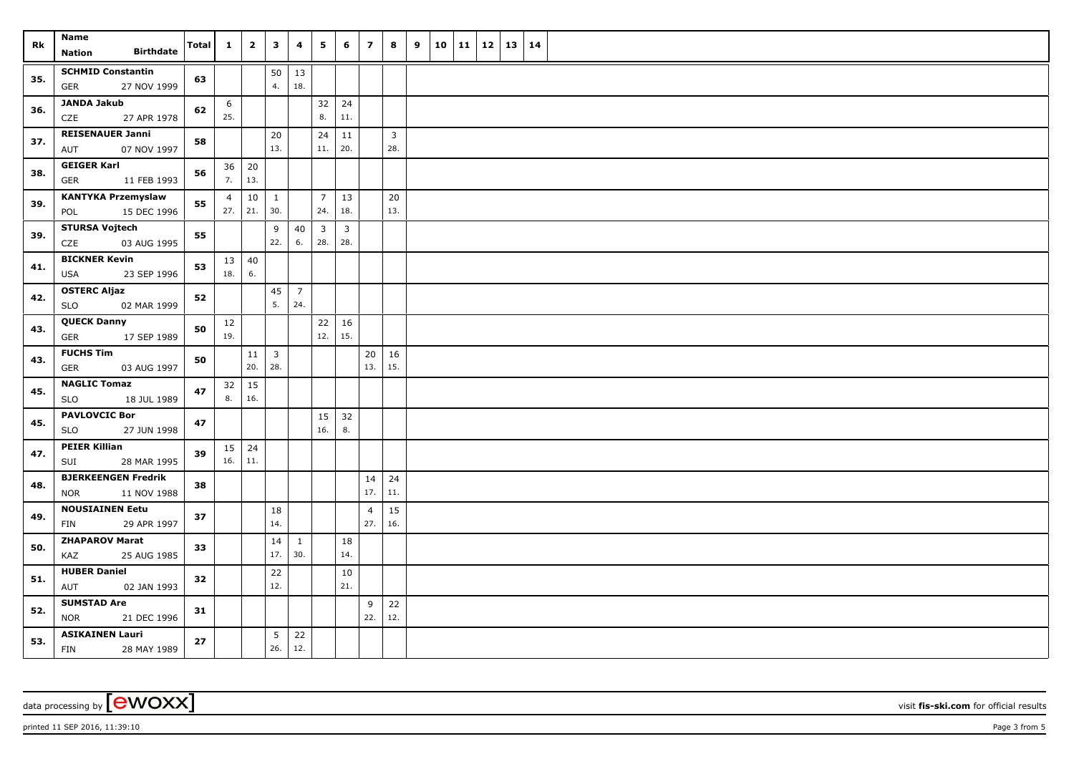| Rk  | Name<br><b>Birthdate</b><br><b>Nation</b>               | Total | $\mathbf{1}$          | $\overline{\mathbf{2}}$ | $\mathbf{3}$                   | 4                     | 5                     | 6                     | $\overline{z}$        | 8                     | 9 | 10 | $11 \mid 12$ | 13 14 |  |
|-----|---------------------------------------------------------|-------|-----------------------|-------------------------|--------------------------------|-----------------------|-----------------------|-----------------------|-----------------------|-----------------------|---|----|--------------|-------|--|
| 35. | <b>SCHMID Constantin</b><br>27 NOV 1999<br>GER          | 63    |                       |                         | 50<br>4.                       | 13<br>18.             |                       |                       |                       |                       |   |    |              |       |  |
| 36. | JANDA Jakub<br>27 APR 1978<br>CZE                       | 62    | 6<br>25.              |                         |                                |                       | 32<br>8.              | 24<br>11.             |                       |                       |   |    |              |       |  |
| 37. | <b>REISENAUER Janni</b><br>AUT<br>07 NOV 1997           | 58    |                       |                         | 20<br>13.                      |                       | 24<br>11.             | $11\,$<br>20.         |                       | $\overline{3}$<br>28. |   |    |              |       |  |
| 38. | <b>GEIGER Karl</b><br>GER<br>11 FEB 1993                | 56    | 36<br>7.              | 20<br>13.               |                                |                       |                       |                       |                       |                       |   |    |              |       |  |
| 39. | <b>KANTYKA Przemyslaw</b><br>15 DEC 1996<br>POL         | 55    | $\overline{4}$<br>27. | 10<br>21.               | $\mathbf{1}$<br>30.            |                       | $\overline{7}$<br>24. | 13<br>18.             |                       | 20<br>13.             |   |    |              |       |  |
| 39. | <b>STURSA Vojtech</b><br>03 AUG 1995<br>CZE             | 55    |                       |                         | 9<br>22.                       | 40<br>6.              | $\mathbf{3}$<br>28.   | $\overline{3}$<br>28. |                       |                       |   |    |              |       |  |
| 41. | <b>BICKNER Kevin</b><br>23 SEP 1996<br>USA              | 53    | 13<br>18.             | 40<br>6.                |                                |                       |                       |                       |                       |                       |   |    |              |       |  |
| 42. | <b>OSTERC Aljaz</b><br><b>SLO</b><br>02 MAR 1999        | 52    |                       |                         | 45<br>5.                       | $\overline{7}$<br>24. |                       |                       |                       |                       |   |    |              |       |  |
| 43. | <b>QUECK Danny</b><br>17 SEP 1989<br>GER                | 50    | 12<br>19.             |                         |                                |                       | 22<br>12.             | 16<br>15.             |                       |                       |   |    |              |       |  |
| 43. | <b>FUCHS Tim</b><br>GER<br>03 AUG 1997                  | 50    |                       | 11<br>20.               | $\overline{\mathbf{3}}$<br>28. |                       |                       |                       | 20<br>13.             | 16<br>15.             |   |    |              |       |  |
| 45. | <b>NAGLIC Tomaz</b><br><b>SLO</b><br>18 JUL 1989        | 47    | 32<br>8.              | 15<br>16.               |                                |                       |                       |                       |                       |                       |   |    |              |       |  |
| 45. | <b>PAVLOVCIC Bor</b><br>27 JUN 1998<br><b>SLO</b>       | 47    |                       |                         |                                |                       | 15<br>16.             | 32<br>8.              |                       |                       |   |    |              |       |  |
| 47. | <b>PEIER Killian</b><br>28 MAR 1995<br>SUI              | 39    | $15 \mid 24$<br>16.   | 11.                     |                                |                       |                       |                       |                       |                       |   |    |              |       |  |
| 48. | <b>BJERKEENGEN Fredrik</b><br><b>NOR</b><br>11 NOV 1988 | 38    |                       |                         |                                |                       |                       |                       | 14<br>17.             | 24<br>11.             |   |    |              |       |  |
| 49. | <b>NOUSIAINEN Eetu</b><br>29 APR 1997<br>FIN            | 37    |                       |                         | 18<br>14.                      |                       |                       |                       | $\overline{4}$<br>27. | 15<br>16.             |   |    |              |       |  |
| 50. | <b>ZHAPAROV Marat</b><br>25 AUG 1985<br>KAZ             | 33    |                       |                         | 14<br>17.                      | $\mathbf{1}$<br>30.   |                       | $18\,$<br>14.         |                       |                       |   |    |              |       |  |
| 51. | <b>HUBER Daniel</b><br>AUT<br>02 JAN 1993               | 32    |                       |                         | 22<br>12.                      |                       |                       | 10<br>21.             |                       |                       |   |    |              |       |  |
| 52. | <b>SUMSTAD Are</b><br><b>NOR</b><br>21 DEC 1996         | 31    |                       |                         |                                |                       |                       |                       | 9<br>22.              | 22<br>12.             |   |    |              |       |  |
| 53. | <b>ASIKAINEN Lauri</b><br><b>FIN</b><br>28 MAY 1989     | 27    |                       |                         | $5\overline{)}$<br>26.         | 22<br>12.             |                       |                       |                       |                       |   |    |              |       |  |

printed 11 SEP 2016, 11:39:10 Page 3 from 5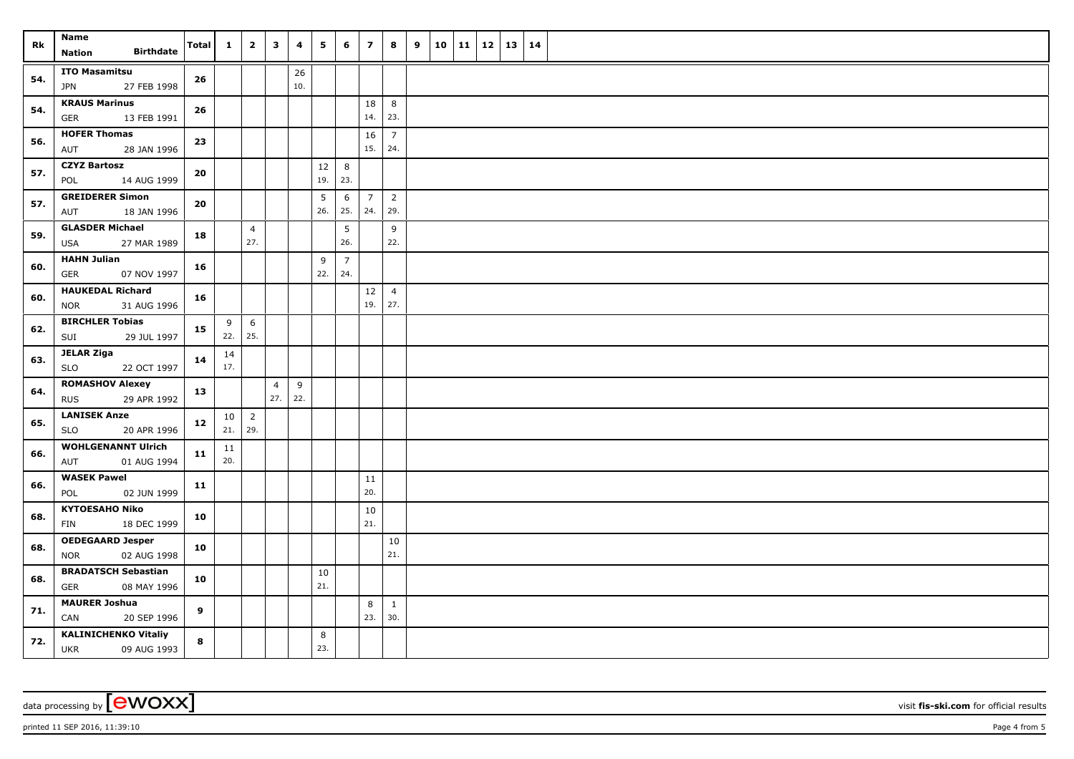| Rk  | Name<br><b>Birthdate</b><br><b>Nation</b>                | <b>Total</b> | $\mathbf{1}$ | $\overline{2}$        | $\mathbf{3}$          | 4        | 5        | 6                     | $\overline{\mathbf{z}}$ | 8                     | 9 | 10 | 11   12 | 13 | 14 |  |
|-----|----------------------------------------------------------|--------------|--------------|-----------------------|-----------------------|----------|----------|-----------------------|-------------------------|-----------------------|---|----|---------|----|----|--|
| 54. | <b>ITO Masamitsu</b>                                     | 26           |              |                       |                       | 26       |          |                       |                         |                       |   |    |         |    |    |  |
|     | 27 FEB 1998<br>JPN                                       |              |              |                       |                       | 10.      |          |                       |                         |                       |   |    |         |    |    |  |
| 54. | <b>KRAUS Marinus</b><br>13 FEB 1991<br><b>GER</b>        | 26           |              |                       |                       |          |          |                       | 18<br>14.               | 8<br>23.              |   |    |         |    |    |  |
| 56. | <b>HOFER Thomas</b>                                      | 23           |              |                       |                       |          |          |                       | 16                      | $\overline{7}$        |   |    |         |    |    |  |
|     | 28 JAN 1996<br>AUT                                       |              |              |                       |                       |          |          |                       | 15.                     | 24.                   |   |    |         |    |    |  |
| 57. | <b>CZYZ Bartosz</b>                                      | 20           |              |                       |                       |          | 12       | 8                     |                         |                       |   |    |         |    |    |  |
|     | POL<br>14 AUG 1999                                       |              |              |                       |                       |          | 19.      | 23.                   |                         |                       |   |    |         |    |    |  |
| 57. | <b>GREIDERER Simon</b><br>AUT<br>18 JAN 1996             | 20           |              |                       |                       |          | 5<br>26. | 6<br>25.              | $\overline{7}$<br>24.   | $\overline{2}$<br>29. |   |    |         |    |    |  |
| 59. | <b>GLASDER Michael</b><br>USA<br>27 MAR 1989             | 18           |              | $\overline{4}$<br>27. |                       |          |          | 5<br>26.              |                         | 9<br>22.              |   |    |         |    |    |  |
| 60. | <b>HAHN Julian</b><br>07 NOV 1997<br>GER                 | 16           |              |                       |                       |          | 9<br>22. | $\overline{7}$<br>24. |                         |                       |   |    |         |    |    |  |
|     | <b>HAUKEDAL Richard</b>                                  |              |              |                       |                       |          |          |                       | 12                      | $\overline{4}$        |   |    |         |    |    |  |
| 60. | 31 AUG 1996<br><b>NOR</b>                                | 16           |              |                       |                       |          |          |                       | 19.                     | 27.                   |   |    |         |    |    |  |
|     | <b>BIRCHLER Tobias</b>                                   |              | 9            | 6                     |                       |          |          |                       |                         |                       |   |    |         |    |    |  |
| 62. | 29 JUL 1997<br>SUI                                       | 15           | 22.          | 25.                   |                       |          |          |                       |                         |                       |   |    |         |    |    |  |
| 63. | <b>JELAR Ziga</b>                                        | 14           | 14           |                       |                       |          |          |                       |                         |                       |   |    |         |    |    |  |
|     | 22 OCT 1997<br>SLO                                       |              | 17.          |                       |                       |          |          |                       |                         |                       |   |    |         |    |    |  |
| 64. | <b>ROMASHOV Alexey</b><br><b>RUS</b><br>29 APR 1992      | 13           |              |                       | $\overline{4}$<br>27. | 9<br>22. |          |                       |                         |                       |   |    |         |    |    |  |
| 65. | <b>LANISEK Anze</b>                                      | 12           | 10           | $\overline{2}$        |                       |          |          |                       |                         |                       |   |    |         |    |    |  |
|     | <b>SLO</b><br>20 APR 1996                                |              | $21.$ 29.    |                       |                       |          |          |                       |                         |                       |   |    |         |    |    |  |
| 66. | <b>WOHLGENANNT Ulrich</b>                                | 11           | 11           |                       |                       |          |          |                       |                         |                       |   |    |         |    |    |  |
|     | 01 AUG 1994<br>AUT                                       |              | 20.          |                       |                       |          |          |                       |                         |                       |   |    |         |    |    |  |
| 66. | <b>WASEK Pawel</b><br>POL<br>02 JUN 1999                 | 11           |              |                       |                       |          |          |                       | ${\bf 11}$<br>20.       |                       |   |    |         |    |    |  |
|     | <b>KYTOESAHO Niko</b>                                    |              |              |                       |                       |          |          |                       | $10\,$                  |                       |   |    |         |    |    |  |
| 68. | FIN<br>18 DEC 1999                                       | 10           |              |                       |                       |          |          |                       | 21.                     |                       |   |    |         |    |    |  |
| 68. | <b>OEDEGAARD Jesper</b>                                  | 10           |              |                       |                       |          |          |                       |                         | 10                    |   |    |         |    |    |  |
|     | 02 AUG 1998<br><b>NOR</b>                                |              |              |                       |                       |          |          |                       |                         | 21.                   |   |    |         |    |    |  |
| 68. | <b>BRADATSCH Sebastian</b>                               | 10           |              |                       |                       |          | 10       |                       |                         |                       |   |    |         |    |    |  |
|     | <b>GER</b><br>08 MAY 1996                                |              |              |                       |                       |          | 21.      |                       |                         |                       |   |    |         |    |    |  |
| 71. | <b>MAURER Joshua</b><br>CAN<br>20 SEP 1996               | 9            |              |                       |                       |          |          |                       | 8<br>23.                | $\mathbf{1}$<br>30.   |   |    |         |    |    |  |
| 72. | <b>KALINICHENKO Vitaliy</b><br><b>UKR</b><br>09 AUG 1993 | 8            |              |                       |                       |          | 8<br>23. |                       |                         |                       |   |    |         |    |    |  |

printed 11 SEP 2016, 11:39:10 Page 4 from 5